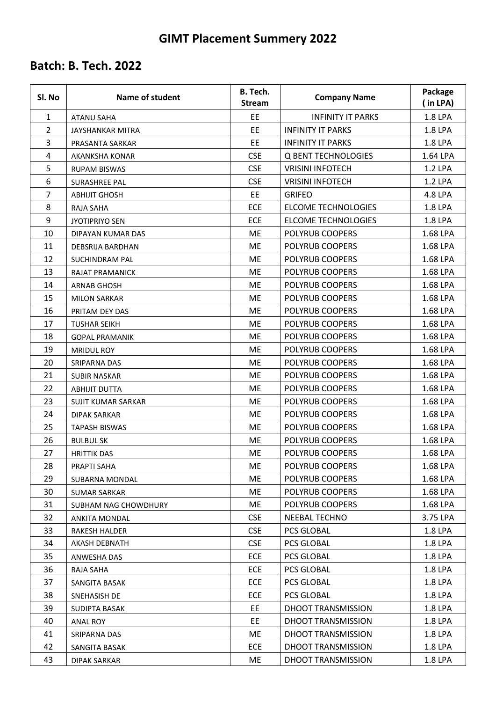### **GIMT Placement Summery 2022**

| Sl. No                  | <b>Name of student</b>    | <b>B.</b> Tech.<br><b>Stream</b> | <b>Company Name</b>        | Package<br>(in LPA) |
|-------------------------|---------------------------|----------------------------------|----------------------------|---------------------|
| $\mathbf{1}$            | <b>ATANU SAHA</b>         | EE                               | <b>INFINITY IT PARKS</b>   | 1.8 LPA             |
| $\overline{2}$          | <b>JAYSHANKAR MITRA</b>   | <b>EE</b>                        | <b>INFINITY IT PARKS</b>   | 1.8 LPA             |
| 3                       | PRASANTA SARKAR           | EE                               | <b>INFINITY IT PARKS</b>   | 1.8 LPA             |
| $\overline{\mathbf{4}}$ | <b>AKANKSHA KONAR</b>     | <b>CSE</b>                       | <b>Q BENT TECHNOLOGIES</b> | 1.64 LPA            |
| 5                       | <b>RUPAM BISWAS</b>       | <b>CSE</b>                       | <b>VRISINI INFOTECH</b>    | 1.2 LPA             |
| 6                       | <b>SURASHREE PAL</b>      | <b>CSE</b>                       | <b>VRISINI INFOTECH</b>    | 1.2 LPA             |
| 7                       | <b>ABHIJIT GHOSH</b>      | <b>EE</b>                        | <b>GRIFEO</b>              | 4.8 LPA             |
| 8                       | RAJA SAHA                 | ECE                              | <b>ELCOME TECHNOLOGIES</b> | 1.8 LPA             |
| 9                       | <b>JYOTIPRIYO SEN</b>     | ECE                              | <b>ELCOME TECHNOLOGIES</b> | 1.8 LPA             |
| 10                      | DIPAYAN KUMAR DAS         | ME                               | POLYRUB COOPERS            | 1.68 LPA            |
| 11                      | DEBSRIJA BARDHAN          | ME                               | POLYRUB COOPERS            | 1.68 LPA            |
| 12                      | <b>SUCHINDRAM PAL</b>     | ME                               | POLYRUB COOPERS            | 1.68 LPA            |
| 13                      | <b>RAJAT PRAMANICK</b>    | <b>ME</b>                        | POLYRUB COOPERS            | 1.68 LPA            |
| 14                      | <b>ARNAB GHOSH</b>        | ME                               | <b>POLYRUB COOPERS</b>     | 1.68 LPA            |
| 15                      | <b>MILON SARKAR</b>       | ME                               | POLYRUB COOPERS            | 1.68 LPA            |
| 16                      | PRITAM DEY DAS            | ME                               | POLYRUB COOPERS            | 1.68 LPA            |
| 17                      | <b>TUSHAR SEIKH</b>       | ME                               | POLYRUB COOPERS            | 1.68 LPA            |
| 18                      | <b>GOPAL PRAMANIK</b>     | ME                               | POLYRUB COOPERS            | 1.68 LPA            |
| 19                      | <b>MRIDUL ROY</b>         | ME                               | POLYRUB COOPERS            | 1.68 LPA            |
| 20                      | SRIPARNA DAS              | <b>ME</b>                        | POLYRUB COOPERS            | 1.68 LPA            |
| 21                      | <b>SUBIR NASKAR</b>       | ME                               | POLYRUB COOPERS            | 1.68 LPA            |
| 22                      | <b>ABHIJIT DUTTA</b>      | ME                               | POLYRUB COOPERS            | 1.68 LPA            |
| 23                      | <b>SUJIT KUMAR SARKAR</b> | ME                               | POLYRUB COOPERS            | 1.68 LPA            |
| 24                      | <b>DIPAK SARKAR</b>       | ME                               | POLYRUB COOPERS            | 1.68 LPA            |
| 25                      | <b>TAPASH BISWAS</b>      | <b>ME</b>                        | POLYRUB COOPERS            | 1.68 LPA            |
| 26                      | <b>BULBUL SK</b>          | ME                               | POLYRUB COOPERS            | 1.68 LPA            |
| 27                      | <b>HRITTIK DAS</b>        | ME                               | POLYRUB COOPERS            | 1.68 LPA            |
| 28                      | PRAPTI SAHA               | ME                               | POLYRUB COOPERS            | 1.68 LPA            |
| 29                      | SUBARNA MONDAL            | ME                               | POLYRUB COOPERS            | 1.68 LPA            |
| 30                      | <b>SUMAR SARKAR</b>       | ME                               | POLYRUB COOPERS            | 1.68 LPA            |
| 31                      | SUBHAM NAG CHOWDHURY      | ME                               | POLYRUB COOPERS            | 1.68 LPA            |
| 32                      | <b>ANKITA MONDAL</b>      | <b>CSE</b>                       | NEEBAL TECHNO              | 3.75 LPA            |
| 33                      | <b>RAKESH HALDER</b>      | <b>CSE</b>                       | PCS GLOBAL                 | 1.8 LPA             |
| 34                      | AKASH DEBNATH             | <b>CSE</b>                       | <b>PCS GLOBAL</b>          | 1.8 LPA             |
| 35                      | ANWESHA DAS               | ECE                              | PCS GLOBAL                 | 1.8 LPA             |
| 36                      | RAJA SAHA                 | ECE                              | PCS GLOBAL                 | 1.8 LPA             |
| 37                      | SANGITA BASAK             | ECE                              | PCS GLOBAL                 | 1.8 LPA             |
| 38                      | SNEHASISH DE              | <b>ECE</b>                       | <b>PCS GLOBAL</b>          | 1.8 LPA             |
| 39                      | SUDIPTA BASAK             | EE                               | DHOOT TRANSMISSION         | 1.8 LPA             |
| 40                      | <b>ANAL ROY</b>           | EE.                              | <b>DHOOT TRANSMISSION</b>  | 1.8 LPA             |
| 41                      | SRIPARNA DAS              | ME                               | DHOOT TRANSMISSION         | 1.8 LPA             |
| 42                      | SANGITA BASAK             | ECE                              | DHOOT TRANSMISSION         | 1.8 LPA             |
| 43                      | DIPAK SARKAR              | ME                               | DHOOT TRANSMISSION         | 1.8 LPA             |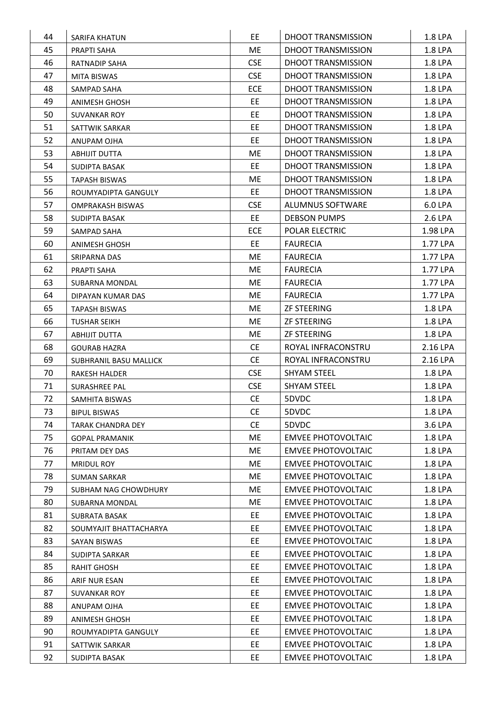| 44 | <b>SARIFA KHATUN</b>     | EE.        | DHOOT TRANSMISSION        | 1.8 LPA  |
|----|--------------------------|------------|---------------------------|----------|
| 45 | PRAPTI SAHA              | <b>ME</b>  | <b>DHOOT TRANSMISSION</b> | 1.8 LPA  |
| 46 | RATNADIP SAHA            | <b>CSE</b> | DHOOT TRANSMISSION        | 1.8 LPA  |
| 47 | MITA BISWAS              | <b>CSE</b> | DHOOT TRANSMISSION        | 1.8 LPA  |
| 48 | SAMPAD SAHA              | <b>ECE</b> | DHOOT TRANSMISSION        | 1.8 LPA  |
| 49 | ANIMESH GHOSH            | EE.        | DHOOT TRANSMISSION        | 1.8 LPA  |
| 50 | <b>SUVANKAR ROY</b>      | <b>EE</b>  | <b>DHOOT TRANSMISSION</b> | 1.8 LPA  |
| 51 | SATTWIK SARKAR           | EE.        | DHOOT TRANSMISSION        | 1.8 LPA  |
| 52 | ANUPAM OJHA              | EE.        | DHOOT TRANSMISSION        | 1.8 LPA  |
| 53 | ABHIJIT DUTTA            | ME         | DHOOT TRANSMISSION        | 1.8 LPA  |
| 54 | SUDIPTA BASAK            | EE.        | DHOOT TRANSMISSION        | 1.8 LPA  |
| 55 | <b>TAPASH BISWAS</b>     | ME         | DHOOT TRANSMISSION        | 1.8 LPA  |
| 56 | ROUMYADIPTA GANGULY      | EE.        | DHOOT TRANSMISSION        | 1.8 LPA  |
| 57 | <b>OMPRAKASH BISWAS</b>  | <b>CSE</b> | <b>ALUMNUS SOFTWARE</b>   | 6.0 LPA  |
| 58 | SUDIPTA BASAK            | EE.        | <b>DEBSON PUMPS</b>       | 2.6 LPA  |
| 59 | SAMPAD SAHA              | <b>ECE</b> | <b>POLAR ELECTRIC</b>     | 1.98 LPA |
| 60 | ANIMESH GHOSH            | EE.        | <b>FAURECIA</b>           | 1.77 LPA |
| 61 | SRIPARNA DAS             | ME         | <b>FAURECIA</b>           | 1.77 LPA |
| 62 | PRAPTI SAHA              | ME         | <b>FAURECIA</b>           | 1.77 LPA |
| 63 | SUBARNA MONDAL           | ME.        | <b>FAURECIA</b>           | 1.77 LPA |
| 64 | DIPAYAN KUMAR DAS        | ME         | <b>FAURECIA</b>           | 1.77 LPA |
| 65 | <b>TAPASH BISWAS</b>     | ME         | <b>ZF STEERING</b>        | 1.8 LPA  |
| 66 | TUSHAR SEIKH             | <b>ME</b>  | <b>ZF STEERING</b>        | 1.8 LPA  |
| 67 | <b>ABHIJIT DUTTA</b>     | ME         | <b>ZF STEERING</b>        | 1.8 LPA  |
| 68 | <b>GOURAB HAZRA</b>      | <b>CE</b>  | ROYAL INFRACONSTRU        | 2.16 LPA |
| 69 | SUBHRANIL BASU MALLICK   | <b>CE</b>  | ROYAL INFRACONSTRU        | 2.16 LPA |
| 70 | RAKESH HALDER            | <b>CSE</b> | <b>SHYAM STEEL</b>        | 1.8 LPA  |
| 71 | <b>SURASHREE PAL</b>     | <b>CSE</b> | <b>SHYAM STEEL</b>        | 1.8 LPA  |
| 72 | SAMHITA BISWAS           | <b>CE</b>  | 5DVDC                     | 1.8 LPA  |
| 73 | <b>BIPUL BISWAS</b>      | <b>CE</b>  | 5DVDC                     | 1.8 LPA  |
| 74 | <b>TARAK CHANDRA DEY</b> | <b>CE</b>  | 5DVDC                     | 3.6 LPA  |
| 75 | <b>GOPAL PRAMANIK</b>    | ME         | <b>EMVEE PHOTOVOLTAIC</b> | 1.8 LPA  |
| 76 | PRITAM DEY DAS           | <b>ME</b>  | <b>EMVEE PHOTOVOLTAIC</b> | 1.8 LPA  |
| 77 | <b>MRIDUL ROY</b>        | ME         | <b>EMVEE PHOTOVOLTAIC</b> | 1.8 LPA  |
| 78 | <b>SUMAN SARKAR</b>      | ME         | <b>EMVEE PHOTOVOLTAIC</b> | 1.8 LPA  |
| 79 | SUBHAM NAG CHOWDHURY     | <b>ME</b>  | <b>EMVEE PHOTOVOLTAIC</b> | 1.8 LPA  |
| 80 | SUBARNA MONDAL           | <b>ME</b>  | <b>EMVEE PHOTOVOLTAIC</b> | 1.8 LPA  |
| 81 | <b>SUBRATA BASAK</b>     | EE.        | <b>EMVEE PHOTOVOLTAIC</b> | 1.8 LPA  |
| 82 | SOUMYAJIT BHATTACHARYA   | EE.        | <b>EMVEE PHOTOVOLTAIC</b> | 1.8 LPA  |
| 83 | SAYAN BISWAS             | EE         | <b>EMVEE PHOTOVOLTAIC</b> | 1.8 LPA  |
| 84 | SUDIPTA SARKAR           | EE         | <b>EMVEE PHOTOVOLTAIC</b> | 1.8 LPA  |
| 85 | RAHIT GHOSH              | EE         | <b>EMVEE PHOTOVOLTAIC</b> | 1.8 LPA  |
| 86 | ARIF NUR ESAN            | EE.        | <b>EMVEE PHOTOVOLTAIC</b> | 1.8 LPA  |
| 87 | <b>SUVANKAR ROY</b>      | EE.        | <b>EMVEE PHOTOVOLTAIC</b> | 1.8 LPA  |
| 88 | ANUPAM OJHA              | <b>EE</b>  | <b>EMVEE PHOTOVOLTAIC</b> | 1.8 LPA  |
| 89 | ANIMESH GHOSH            | EE.        | <b>EMVEE PHOTOVOLTAIC</b> | 1.8 LPA  |
| 90 | ROUMYADIPTA GANGULY      | EE.        | <b>EMVEE PHOTOVOLTAIC</b> | 1.8 LPA  |
| 91 | SATTWIK SARKAR           | EE.        | <b>EMVEE PHOTOVOLTAIC</b> | 1.8 LPA  |
|    |                          |            |                           |          |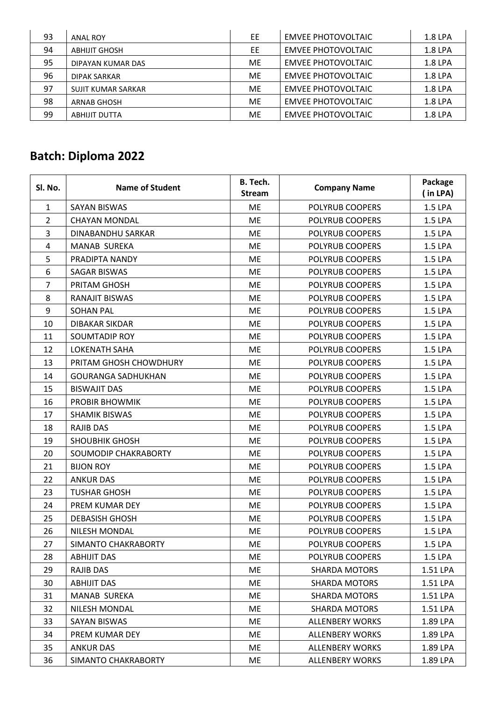| 93 | ANAL ROY                  | EE        | <b>EMVEE PHOTOVOLTAIC</b> | 1.8 LPA |
|----|---------------------------|-----------|---------------------------|---------|
| 94 | <b>ABHIJIT GHOSH</b>      | EE        | <b>EMVEE PHOTOVOLTAIC</b> | 1.8 LPA |
| 95 | DIPAYAN KUMAR DAS         | ME        | <b>EMVEE PHOTOVOLTAIC</b> | 1.8 LPA |
| 96 | <b>DIPAK SARKAR</b>       | ME        | <b>EMVEE PHOTOVOLTAIC</b> | 1.8 LPA |
| 97 | <b>SUJIT KUMAR SARKAR</b> | ME        | <b>EMVEE PHOTOVOLTAIC</b> | 1.8 LPA |
| 98 | <b>ARNAB GHOSH</b>        | <b>ME</b> | <b>EMVEE PHOTOVOLTAIC</b> | 1.8 LPA |
| 99 | <b>ABHIJIT DUTTA</b>      | ME        | <b>EMVEE PHOTOVOLTAIC</b> | 1.8 LPA |

| SI. No.        | <b>Name of Student</b>    | B. Tech.<br><b>Stream</b> | <b>Company Name</b>    | Package<br>(in LPA) |
|----------------|---------------------------|---------------------------|------------------------|---------------------|
| $\mathbf{1}$   | <b>SAYAN BISWAS</b>       | <b>ME</b>                 | POLYRUB COOPERS        | 1.5 LPA             |
| $\overline{2}$ | <b>CHAYAN MONDAL</b>      | <b>ME</b>                 | POLYRUB COOPERS        | 1.5 LPA             |
| 3              | DINABANDHU SARKAR         | <b>ME</b>                 | POLYRUB COOPERS        | 1.5 LPA             |
| 4              | <b>MANAB SUREKA</b>       | <b>ME</b>                 | POLYRUB COOPERS        | 1.5 LPA             |
| 5              | PRADIPTA NANDY            | ME                        | POLYRUB COOPERS        | 1.5 LPA             |
| 6              | <b>SAGAR BISWAS</b>       | <b>ME</b>                 | POLYRUB COOPERS        | 1.5 LPA             |
| $\overline{7}$ | PRITAM GHOSH              | <b>ME</b>                 | POLYRUB COOPERS        | 1.5 LPA             |
| 8              | RANAJIT BISWAS            | <b>ME</b>                 | POLYRUB COOPERS        | 1.5 LPA             |
| 9              | <b>SOHAN PAL</b>          | <b>ME</b>                 | POLYRUB COOPERS        | 1.5 LPA             |
| 10             | <b>DIBAKAR SIKDAR</b>     | <b>ME</b>                 | POLYRUB COOPERS        | 1.5 LPA             |
| 11             | SOUMTADIP ROY             | ME                        | POLYRUB COOPERS        | 1.5 LPA             |
| 12             | <b>LOKENATH SAHA</b>      | <b>ME</b>                 | POLYRUB COOPERS        | 1.5 LPA             |
| 13             | PRITAM GHOSH CHOWDHURY    | ME                        | POLYRUB COOPERS        | 1.5 LPA             |
| 14             | <b>GOURANGA SADHUKHAN</b> | <b>ME</b>                 | POLYRUB COOPERS        | 1.5 LPA             |
| 15             | <b>BISWAJIT DAS</b>       | <b>ME</b>                 | POLYRUB COOPERS        | 1.5 LPA             |
| 16             | PROBIR BHOWMIK            | <b>ME</b>                 | POLYRUB COOPERS        | 1.5 LPA             |
| 17             | <b>SHAMIK BISWAS</b>      | ME                        | POLYRUB COOPERS        | 1.5 LPA             |
| 18             | RAJIB DAS                 | <b>ME</b>                 | POLYRUB COOPERS        | 1.5 LPA             |
| 19             | <b>SHOUBHIK GHOSH</b>     | <b>ME</b>                 | POLYRUB COOPERS        | 1.5 LPA             |
| 20             | SOUMODIP CHAKRABORTY      | <b>ME</b>                 | POLYRUB COOPERS        | 1.5 LPA             |
| 21             | <b>BIJON ROY</b>          | ME                        | POLYRUB COOPERS        | 1.5 LPA             |
| 22             | <b>ANKUR DAS</b>          | ME                        | POLYRUB COOPERS        | 1.5 LPA             |
| 23             | <b>TUSHAR GHOSH</b>       | <b>ME</b>                 | POLYRUB COOPERS        | 1.5 LPA             |
| 24             | PREM KUMAR DEY            | <b>ME</b>                 | POLYRUB COOPERS        | 1.5 LPA             |
| 25             | <b>DEBASISH GHOSH</b>     | <b>ME</b>                 | POLYRUB COOPERS        | 1.5 LPA             |
| 26             | <b>NILESH MONDAL</b>      | <b>ME</b>                 | POLYRUB COOPERS        | 1.5 LPA             |
| 27             | SIMANTO CHAKRABORTY       | ME                        | POLYRUB COOPERS        | 1.5 LPA             |
| 28             | <b>ABHIJIT DAS</b>        | МE                        | POLYRUB COOPERS        | 1.5 LPA             |
| 29             | RAJIB DAS                 | ME                        | <b>SHARDA MOTORS</b>   | 1.51 LPA            |
| 30             | <b>ABHIJIT DAS</b>        | ME                        | <b>SHARDA MOTORS</b>   | 1.51 LPA            |
| 31             | MANAB SUREKA              | МE                        | <b>SHARDA MOTORS</b>   | 1.51 LPA            |
| 32             | NILESH MONDAL             | ME                        | <b>SHARDA MOTORS</b>   | 1.51 LPA            |
| 33             | <b>SAYAN BISWAS</b>       | ME                        | <b>ALLENBERY WORKS</b> | 1.89 LPA            |
| 34             | PREM KUMAR DEY            | ME                        | <b>ALLENBERY WORKS</b> | 1.89 LPA            |
| 35             | <b>ANKUR DAS</b>          | ME                        | <b>ALLENBERY WORKS</b> | 1.89 LPA            |
| 36             | SIMANTO CHAKRABORTY       | ME                        | <b>ALLENBERY WORKS</b> | 1.89 LPA            |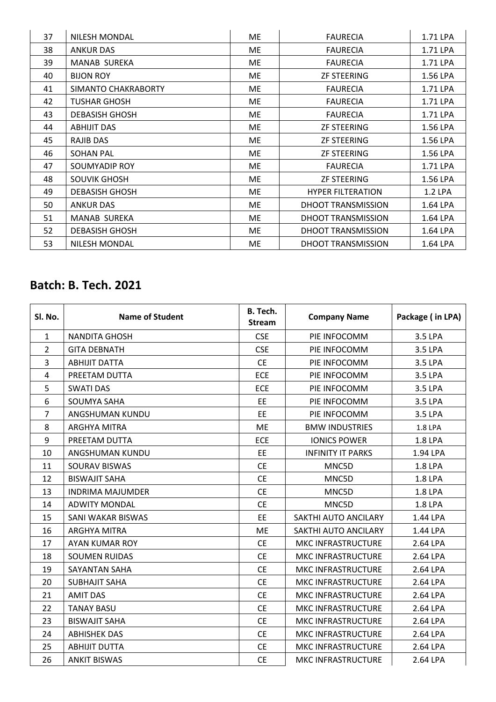| 37 | <b>NILESH MONDAL</b>  | ME  | <b>FAURECIA</b>           | 1.71 LPA |
|----|-----------------------|-----|---------------------------|----------|
| 38 | ANKUR DAS             | ME  | <b>FAURECIA</b>           | 1.71 LPA |
| 39 | <b>MANAB SUREKA</b>   | ME. | <b>FAURECIA</b>           | 1.71 LPA |
| 40 | <b>BIJON ROY</b>      | ME  | <b>ZF STEERING</b>        | 1.56 LPA |
| 41 | SIMANTO CHAKRABORTY   | ME. | <b>FAURECIA</b>           | 1.71 LPA |
| 42 | <b>TUSHAR GHOSH</b>   | ME  | <b>FAURECIA</b>           | 1.71 LPA |
| 43 | <b>DEBASISH GHOSH</b> | ME. | <b>FAURECIA</b>           | 1.71 LPA |
| 44 | <b>ABHIJIT DAS</b>    | ME. | <b>ZF STEERING</b>        | 1.56 LPA |
| 45 | <b>RAJIB DAS</b>      | ME  | <b>ZF STEERING</b>        | 1.56 LPA |
| 46 | <b>SOHAN PAL</b>      | МE  | <b>ZF STEERING</b>        | 1.56 LPA |
| 47 | SOUMYADIP ROY         | ME  | <b>FAURECIA</b>           | 1.71 LPA |
| 48 | <b>SOUVIK GHOSH</b>   | ME. | <b>ZF STEERING</b>        | 1.56 LPA |
| 49 | <b>DEBASISH GHOSH</b> | ME. | <b>HYPER FILTERATION</b>  | 1.2 LPA  |
| 50 | <b>ANKUR DAS</b>      | МE  | DHOOT TRANSMISSION        | 1.64 LPA |
| 51 | MANAB SUREKA          | ME. | DHOOT TRANSMISSION        | 1.64 LPA |
| 52 | <b>DEBASISH GHOSH</b> | ME. | DHOOT TRANSMISSION        | 1.64 LPA |
| 53 | <b>NILESH MONDAL</b>  | ME. | <b>DHOOT TRANSMISSION</b> | 1.64 LPA |

| Sl. No.        | <b>Name of Student</b>  | <b>B.</b> Tech.<br><b>Stream</b> | <b>Company Name</b>       | Package (in LPA) |
|----------------|-------------------------|----------------------------------|---------------------------|------------------|
| $\mathbf{1}$   | NANDITA GHOSH           | <b>CSE</b>                       | PIE INFOCOMM              | 3.5 LPA          |
| $\overline{2}$ | <b>GITA DEBNATH</b>     | <b>CSE</b>                       | PIE INFOCOMM              | 3.5 LPA          |
| $\overline{3}$ | <b>ABHIJIT DATTA</b>    | <b>CE</b>                        | PIE INFOCOMM              | 3.5 LPA          |
| 4              | PREETAM DUTTA           | <b>ECE</b>                       | PIE INFOCOMM              | 3.5 LPA          |
| 5              | <b>SWATI DAS</b>        | <b>ECE</b>                       | PIE INFOCOMM              | 3.5 LPA          |
| 6              | SOUMYA SAHA             | EE                               | PIE INFOCOMM              | 3.5 LPA          |
| $\overline{7}$ | ANGSHUMAN KUNDU         | <b>EE</b>                        | PIE INFOCOMM              | 3.5 LPA          |
| 8              | <b>ARGHYA MITRA</b>     | ME                               | <b>BMW INDUSTRIES</b>     | 1.8 LPA          |
| 9              | PREETAM DUTTA           | <b>ECE</b>                       | <b>IONICS POWER</b>       | 1.8 LPA          |
| 10             | ANGSHUMAN KUNDU         | EE                               | <b>INFINITY IT PARKS</b>  | 1.94 LPA         |
| 11             | SOURAV BISWAS           | <b>CE</b>                        | MNC5D                     | 1.8 LPA          |
| 12             | <b>BISWAJIT SAHA</b>    | <b>CE</b>                        | MNC5D                     | 1.8 LPA          |
| 13             | <b>INDRIMA MAJUMDER</b> | <b>CE</b>                        | MNC5D                     | 1.8 LPA          |
| 14             | <b>ADWITY MONDAL</b>    | <b>CE</b>                        | MNC5D                     | 1.8 LPA          |
| 15             | SANI WAKAR BISWAS       | EE                               | SAKTHI AUTO ANCILARY      | 1.44 LPA         |
| 16             | <b>ARGHYA MITRA</b>     | ME                               | SAKTHI AUTO ANCILARY      | 1.44 LPA         |
| 17             | AYAN KUMAR ROY          | <b>CE</b>                        | MKC INFRASTRUCTURE        | 2.64 LPA         |
| 18             | <b>SOUMEN RUIDAS</b>    | <b>CE</b>                        | MKC INFRASTRUCTURE        | 2.64 LPA         |
| 19             | <b>SAYANTAN SAHA</b>    | <b>CE</b>                        | MKC INFRASTRUCTURE        | 2.64 LPA         |
| 20             | <b>SUBHAJIT SAHA</b>    | <b>CE</b>                        | MKC INFRASTRUCTURE        | 2.64 LPA         |
| 21             | <b>AMIT DAS</b>         | <b>CE</b>                        | MKC INFRASTRUCTURE        | 2.64 LPA         |
| 22             | <b>TANAY BASU</b>       | <b>CE</b>                        | MKC INFRASTRUCTURE        | 2.64 LPA         |
| 23             | <b>BISWAJIT SAHA</b>    | <b>CE</b>                        | MKC INFRASTRUCTURE        | 2.64 LPA         |
| 24             | <b>ABHISHEK DAS</b>     | <b>CE</b>                        | MKC INFRASTRUCTURE        | 2.64 LPA         |
| 25             | <b>ABHIJIT DUTTA</b>    | <b>CE</b>                        | MKC INFRASTRUCTURE        | 2.64 LPA         |
| 26             | <b>ANKIT BISWAS</b>     | <b>CE</b>                        | <b>MKC INFRASTRUCTURE</b> | 2.64 LPA         |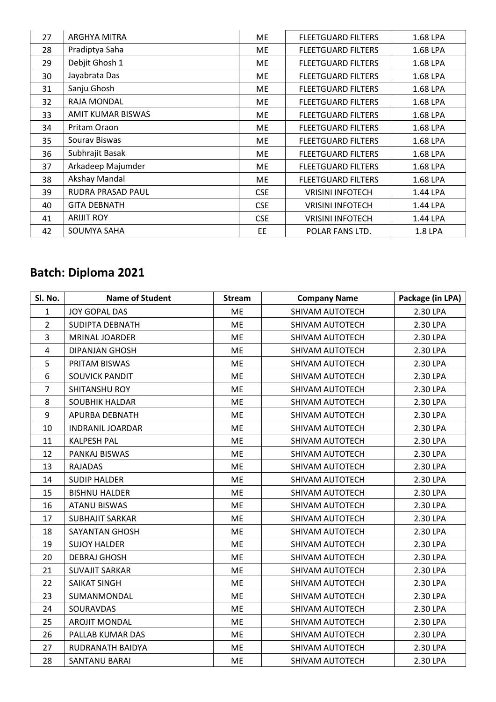| 27 | ARGHYA MITRA        | ME         | <b>FLEETGUARD FILTERS</b> | 1.68 LPA |
|----|---------------------|------------|---------------------------|----------|
| 28 | Pradiptya Saha      | ME         | <b>FLEETGUARD FILTERS</b> | 1.68 LPA |
| 29 | Debjit Ghosh 1      | ME         | <b>FLEETGUARD FILTERS</b> | 1.68 LPA |
| 30 | Jayabrata Das       | ME         | <b>FLEETGUARD FILTERS</b> | 1.68 LPA |
| 31 | Sanju Ghosh         | ME         | <b>FLEETGUARD FILTERS</b> | 1.68 LPA |
| 32 | RAJA MONDAL         | ME         | <b>FLEETGUARD FILTERS</b> | 1.68 LPA |
| 33 | AMIT KUMAR BISWAS   | ME         | <b>FLEETGUARD FILTERS</b> | 1.68 LPA |
| 34 | Pritam Oraon        | ME         | <b>FLEETGUARD FILTERS</b> | 1.68 LPA |
| 35 | Sourav Biswas       | ME         | <b>FLEETGUARD FILTERS</b> | 1.68 LPA |
| 36 | Subhrajit Basak     | ME         | <b>FLEETGUARD FILTERS</b> | 1.68 LPA |
| 37 | Arkadeep Majumder   | ME         | <b>FLEETGUARD FILTERS</b> | 1.68 LPA |
| 38 | Akshay Mandal       | ME         | <b>FLEETGUARD FILTERS</b> | 1.68 LPA |
| 39 | RUDRA PRASAD PAUL   | <b>CSE</b> | <b>VRISINI INFOTECH</b>   | 1.44 LPA |
| 40 | <b>GITA DEBNATH</b> | <b>CSE</b> | <b>VRISINI INFOTECH</b>   | 1.44 LPA |
| 41 | <b>ARIJIT ROY</b>   | <b>CSE</b> | <b>VRISINI INFOTECH</b>   | 1.44 LPA |
| 42 | SOUMYA SAHA         | EE.        | POLAR FANS LTD.           | 1.8 LPA  |

| Sl. No.        | <b>Name of Student</b>  | <b>Stream</b> | <b>Company Name</b> | Package (in LPA) |
|----------------|-------------------------|---------------|---------------------|------------------|
| $\mathbf{1}$   | <b>JOY GOPAL DAS</b>    | ME            | SHIVAM AUTOTECH     | 2.30 LPA         |
| $\overline{2}$ | SUDIPTA DEBNATH         | <b>ME</b>     | SHIVAM AUTOTECH     | 2.30 LPA         |
| 3              | MRINAL JOARDER          | <b>ME</b>     | SHIVAM AUTOTECH     | 2.30 LPA         |
| $\overline{4}$ | <b>DIPANJAN GHOSH</b>   | <b>ME</b>     | SHIVAM AUTOTECH     | 2.30 LPA         |
| 5              | PRITAM BISWAS           | <b>ME</b>     | SHIVAM AUTOTECH     | 2.30 LPA         |
| 6              | <b>SOUVICK PANDIT</b>   | <b>ME</b>     | SHIVAM AUTOTECH     | 2.30 LPA         |
| $\overline{7}$ | SHITANSHU ROY           | <b>ME</b>     | SHIVAM AUTOTECH     | 2.30 LPA         |
| 8              | <b>SOUBHIK HALDAR</b>   | <b>ME</b>     | SHIVAM AUTOTECH     | 2.30 LPA         |
| 9              | APURBA DEBNATH          | <b>ME</b>     | SHIVAM AUTOTECH     | 2.30 LPA         |
| 10             | <b>INDRANIL JOARDAR</b> | <b>ME</b>     | SHIVAM AUTOTECH     | 2.30 LPA         |
| 11             | <b>KALPESH PAL</b>      | <b>ME</b>     | SHIVAM AUTOTECH     | 2.30 LPA         |
| 12             | PANKAJ BISWAS           | <b>ME</b>     | SHIVAM AUTOTECH     | 2.30 LPA         |
| 13             | <b>RAJADAS</b>          | <b>ME</b>     | SHIVAM AUTOTECH     | 2.30 LPA         |
| 14             | <b>SUDIP HALDER</b>     | <b>ME</b>     | SHIVAM AUTOTECH     | 2.30 LPA         |
| 15             | <b>BISHNU HALDER</b>    | <b>ME</b>     | SHIVAM AUTOTECH     | 2.30 LPA         |
| 16             | <b>ATANU BISWAS</b>     | <b>ME</b>     | SHIVAM AUTOTECH     | 2.30 LPA         |
| 17             | <b>SUBHAJIT SARKAR</b>  | <b>ME</b>     | SHIVAM AUTOTECH     | 2.30 LPA         |
| 18             | <b>SAYANTAN GHOSH</b>   | <b>ME</b>     | SHIVAM AUTOTECH     | 2.30 LPA         |
| 19             | <b>SUJOY HALDER</b>     | <b>ME</b>     | SHIVAM AUTOTECH     | 2.30 LPA         |
| 20             | <b>DEBRAJ GHOSH</b>     | ME            | SHIVAM AUTOTECH     | 2.30 LPA         |
| 21             | <b>SUVAJIT SARKAR</b>   | ME            | SHIVAM AUTOTECH     | 2.30 LPA         |
| 22             | <b>SAIKAT SINGH</b>     | <b>ME</b>     | SHIVAM AUTOTECH     | 2.30 LPA         |
| 23             | SUMANMONDAL             | <b>ME</b>     | SHIVAM AUTOTECH     | 2.30 LPA         |
| 24             | SOURAVDAS               | <b>ME</b>     | SHIVAM AUTOTECH     | 2.30 LPA         |
| 25             | <b>AROJIT MONDAL</b>    | <b>ME</b>     | SHIVAM AUTOTECH     | 2.30 LPA         |
| 26             | PALLAB KUMAR DAS        | <b>ME</b>     | SHIVAM AUTOTECH     | 2.30 LPA         |
| 27             | RUDRANATH BAIDYA        | <b>ME</b>     | SHIVAM AUTOTECH     | 2.30 LPA         |
| 28             | SANTANU BARAI           | <b>ME</b>     | SHIVAM AUTOTECH     | 2.30 LPA         |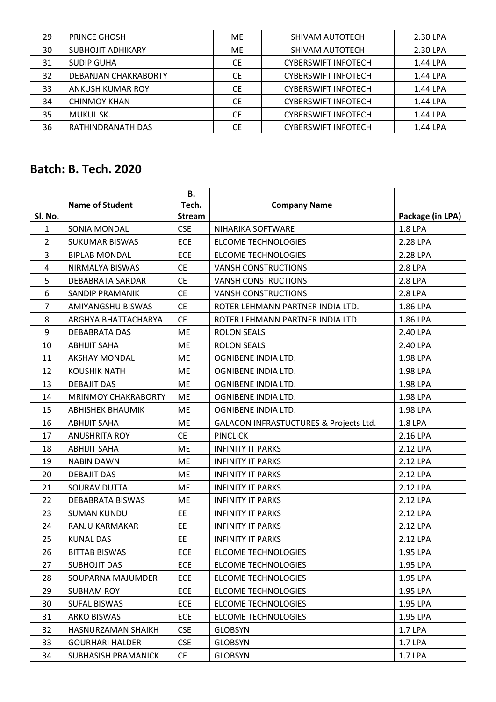| 29 | <b>PRINCE GHOSH</b>      | ME.       | SHIVAM AUTOTECH            | 2.30 LPA |
|----|--------------------------|-----------|----------------------------|----------|
| 30 | <b>SUBHOJIT ADHIKARY</b> | ME.       | SHIVAM AUTOTECH            | 2.30 LPA |
| 31 | <b>SUDIP GUHA</b>        | <b>CE</b> | <b>CYBERSWIFT INFOTECH</b> | 1.44 LPA |
| 32 | DEBANJAN CHAKRABORTY     | <b>CE</b> | <b>CYBERSWIFT INFOTECH</b> | 1.44 LPA |
| 33 | ANKUSH KUMAR ROY         | <b>CE</b> | <b>CYBERSWIFT INFOTECH</b> | 1.44 LPA |
| 34 | <b>CHINMOY KHAN</b>      | <b>CE</b> | <b>CYBERSWIFT INFOTECH</b> | 1.44 LPA |
| 35 | MUKUL SK.                | <b>CE</b> | <b>CYBERSWIFT INFOTECH</b> | 1.44 LPA |
| 36 | RATHINDRANATH DAS        | <b>CE</b> | <b>CYBERSWIFT INFOTECH</b> | 1.44 LPA |

|                |                            | В.                     |                                                   |                                    |
|----------------|----------------------------|------------------------|---------------------------------------------------|------------------------------------|
| Sl. No.        | <b>Name of Student</b>     | Tech.<br><b>Stream</b> | <b>Company Name</b>                               |                                    |
| $\mathbf{1}$   | SONIA MONDAL               | <b>CSE</b>             | NIHARIKA SOFTWARE                                 | Package (in LPA)<br><b>1.8 LPA</b> |
| $\overline{2}$ |                            |                        | <b>ELCOME TECHNOLOGIES</b>                        | 2.28 LPA                           |
| 3              | <b>SUKUMAR BISWAS</b>      | <b>ECE</b>             |                                                   |                                    |
|                | <b>BIPLAB MONDAL</b>       | <b>ECE</b>             | <b>ELCOME TECHNOLOGIES</b>                        | 2.28 LPA                           |
| 4              | NIRMALYA BISWAS            | <b>CE</b>              | <b>VANSH CONSTRUCTIONS</b>                        | 2.8 LPA                            |
| 5              | DEBABRATA SARDAR           | <b>CE</b>              | <b>VANSH CONSTRUCTIONS</b>                        | 2.8 LPA                            |
| 6              | <b>SANDIP PRAMANIK</b>     | <b>CE</b>              | <b>VANSH CONSTRUCTIONS</b>                        | 2.8 LPA                            |
| $\overline{7}$ | AMIYANGSHU BISWAS          | <b>CE</b>              | ROTER LEHMANN PARTNER INDIA LTD.                  | 1.86 LPA                           |
| 8              | ARGHYA BHATTACHARYA        | <b>CE</b>              | ROTER LEHMANN PARTNER INDIA LTD.                  | 1.86 LPA                           |
| 9              | <b>DEBABRATA DAS</b>       | ME                     | <b>ROLON SEALS</b>                                | 2.40 LPA                           |
| 10             | <b>ABHIJIT SAHA</b>        | ME                     | <b>ROLON SEALS</b>                                | 2.40 LPA                           |
| 11             | <b>AKSHAY MONDAL</b>       | ME                     | OGNIBENE INDIA LTD.                               | 1.98 LPA                           |
| 12             | <b>KOUSHIK NATH</b>        | <b>ME</b>              | OGNIBENE INDIA LTD.                               | 1.98 LPA                           |
| 13             | <b>DEBAJIT DAS</b>         | <b>ME</b>              | OGNIBENE INDIA LTD.                               | 1.98 LPA                           |
| 14             | MRINMOY CHAKRABORTY        | ME                     | OGNIBENE INDIA LTD.                               | 1.98 LPA                           |
| 15             | <b>ABHISHEK BHAUMIK</b>    | <b>ME</b>              | OGNIBENE INDIA LTD.                               | 1.98 LPA                           |
| 16             | <b>ABHIJIT SAHA</b>        | ME                     | <b>GALACON INFRASTUCTURES &amp; Projects Ltd.</b> | 1.8 LPA                            |
| 17             | <b>ANUSHRITA ROY</b>       | <b>CE</b>              | <b>PINCLICK</b>                                   | 2.16 LPA                           |
| 18             | <b>ABHIJIT SAHA</b>        | ME                     | <b>INFINITY IT PARKS</b>                          | 2.12 LPA                           |
| 19             | <b>NABIN DAWN</b>          | ME                     | <b>INFINITY IT PARKS</b>                          | 2.12 LPA                           |
| 20             | <b>DEBAJIT DAS</b>         | ME                     | <b>INFINITY IT PARKS</b>                          | 2.12 LPA                           |
| 21             | SOURAV DUTTA               | ME                     | <b>INFINITY IT PARKS</b>                          | 2.12 LPA                           |
| 22             | <b>DEBABRATA BISWAS</b>    | ME                     | <b>INFINITY IT PARKS</b>                          | 2.12 LPA                           |
| 23             | <b>SUMAN KUNDU</b>         | <b>EE</b>              | <b>INFINITY IT PARKS</b>                          | 2.12 LPA                           |
| 24             | RANJU KARMAKAR             | <b>EE</b>              | <b>INFINITY IT PARKS</b>                          | 2.12 LPA                           |
| 25             | <b>KUNAL DAS</b>           | EE                     | <b>INFINITY IT PARKS</b>                          | 2.12 LPA                           |
| 26             | <b>BITTAB BISWAS</b>       | <b>ECE</b>             | <b>ELCOME TECHNOLOGIES</b>                        | 1.95 LPA                           |
| 27             | <b>SUBHOJIT DAS</b>        | <b>ECE</b>             | <b>ELCOME TECHNOLOGIES</b>                        | 1.95 LPA                           |
| 28             | SOUPARNA MAJUMDER          | <b>ECE</b>             | <b>ELCOME TECHNOLOGIES</b>                        | 1.95 LPA                           |
| 29             | <b>SUBHAM ROY</b>          | <b>ECE</b>             | <b>ELCOME TECHNOLOGIES</b>                        | 1.95 LPA                           |
| 30             | <b>SUFAL BISWAS</b>        | <b>ECE</b>             | <b>ELCOME TECHNOLOGIES</b>                        | 1.95 LPA                           |
| 31             | <b>ARKO BISWAS</b>         | <b>ECE</b>             | <b>ELCOME TECHNOLOGIES</b>                        | 1.95 LPA                           |
| 32             | HASNURZAMAN SHAIKH         | <b>CSE</b>             | <b>GLOBSYN</b>                                    | 1.7 LPA                            |
| 33             | <b>GOURHARI HALDER</b>     | <b>CSE</b>             | <b>GLOBSYN</b>                                    | 1.7 LPA                            |
| 34             | <b>SUBHASISH PRAMANICK</b> | <b>CE</b>              | <b>GLOBSYN</b>                                    | 1.7 LPA                            |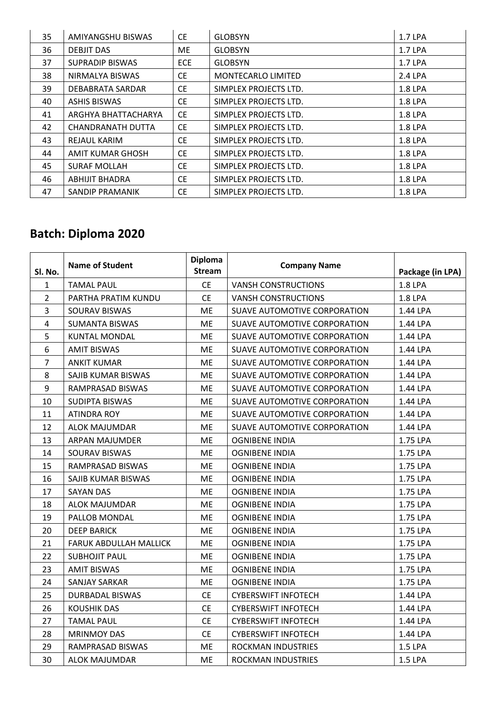| 35 | AMIYANGSHU BISWAS       | <b>CE</b>  | <b>GLOBSYN</b>            | 1.7 LPA |
|----|-------------------------|------------|---------------------------|---------|
| 36 | <b>DEBJIT DAS</b>       | ME         | <b>GLOBSYN</b>            | 1.7 LPA |
| 37 | <b>SUPRADIP BISWAS</b>  | <b>ECE</b> | <b>GLOBSYN</b>            | 1.7 LPA |
| 38 | NIRMALYA BISWAS         | CE.        | <b>MONTECARLO LIMITED</b> | 2.4 LPA |
| 39 | DEBABRATA SARDAR        | CE.        | SIMPLEX PROJECTS LTD.     | 1.8 LPA |
| 40 | <b>ASHIS BISWAS</b>     | <b>CE</b>  | SIMPLEX PROJECTS LTD.     | 1.8 LPA |
| 41 | ARGHYA BHATTACHARYA     | <b>CE</b>  | SIMPLEX PROJECTS LTD.     | 1.8 LPA |
| 42 | CHANDRANATH DUTTA       | CE.        | SIMPLEX PROJECTS LTD.     | 1.8 LPA |
| 43 | REJAUL KARIM            | CE.        | SIMPLEX PROJECTS LTD.     | 1.8 LPA |
| 44 | <b>AMIT KUMAR GHOSH</b> | <b>CE</b>  | SIMPLEX PROJECTS LTD.     | 1.8 LPA |
| 45 | <b>SURAF MOLLAH</b>     | CE.        | SIMPLEX PROJECTS LTD.     | 1.8 LPA |
| 46 | <b>ABHIJIT BHADRA</b>   | <b>CE</b>  | SIMPLEX PROJECTS LTD.     | 1.8 LPA |
| 47 | <b>SANDIP PRAMANIK</b>  | CE.        | SIMPLEX PROJECTS LTD.     | 1.8 LPA |

| Sl. No.        | <b>Name of Student</b>        | <b>Diploma</b><br><b>Stream</b> | <b>Company Name</b>          | Package (in LPA) |
|----------------|-------------------------------|---------------------------------|------------------------------|------------------|
| 1              | <b>TAMAL PAUL</b>             | <b>CE</b>                       | <b>VANSH CONSTRUCTIONS</b>   | 1.8 LPA          |
| $\overline{2}$ | PARTHA PRATIM KUNDU           | <b>CE</b>                       | <b>VANSH CONSTRUCTIONS</b>   | 1.8 LPA          |
| $\overline{3}$ | SOURAV BISWAS                 | ME                              | SUAVE AUTOMOTIVE CORPORATION | 1.44 LPA         |
| $\overline{4}$ | <b>SUMANTA BISWAS</b>         | ME                              | SUAVE AUTOMOTIVE CORPORATION | 1.44 LPA         |
| 5              | <b>KUNTAL MONDAL</b>          | ME                              | SUAVE AUTOMOTIVE CORPORATION | 1.44 LPA         |
| 6              | <b>AMIT BISWAS</b>            | ME                              | SUAVE AUTOMOTIVE CORPORATION | 1.44 LPA         |
| $\overline{7}$ | <b>ANKIT KUMAR</b>            | ME                              | SUAVE AUTOMOTIVE CORPORATION | 1.44 LPA         |
| 8              | SAJIB KUMAR BISWAS            | ME                              | SUAVE AUTOMOTIVE CORPORATION | 1.44 LPA         |
| 9              | RAMPRASAD BISWAS              | ME                              | SUAVE AUTOMOTIVE CORPORATION | 1.44 LPA         |
| 10             | SUDIPTA BISWAS                | ME                              | SUAVE AUTOMOTIVE CORPORATION | 1.44 LPA         |
| 11             | <b>ATINDRA ROY</b>            | ME                              | SUAVE AUTOMOTIVE CORPORATION | 1.44 LPA         |
| 12             | <b>ALOK MAJUMDAR</b>          | ME                              | SUAVE AUTOMOTIVE CORPORATION | 1.44 LPA         |
| 13             | ARPAN MAJUMDER                | ME                              | <b>OGNIBENE INDIA</b>        | 1.75 LPA         |
| 14             | SOURAV BISWAS                 | ME                              | <b>OGNIBENE INDIA</b>        | 1.75 LPA         |
| 15             | RAMPRASAD BISWAS              | ME                              | <b>OGNIBENE INDIA</b>        | 1.75 LPA         |
| 16             | SAJIB KUMAR BISWAS            | ME                              | <b>OGNIBENE INDIA</b>        | 1.75 LPA         |
| 17             | <b>SAYAN DAS</b>              | ME                              | <b>OGNIBENE INDIA</b>        | 1.75 LPA         |
| 18             | <b>ALOK MAJUMDAR</b>          | ME                              | <b>OGNIBENE INDIA</b>        | 1.75 LPA         |
| 19             | PALLOB MONDAL                 | ME                              | <b>OGNIBENE INDIA</b>        | 1.75 LPA         |
| 20             | <b>DEEP BARICK</b>            | ME                              | <b>OGNIBENE INDIA</b>        | 1.75 LPA         |
| 21             | <b>FARUK ABDULLAH MALLICK</b> | ME                              | <b>OGNIBENE INDIA</b>        | 1.75 LPA         |
| 22             | <b>SUBHOJIT PAUL</b>          | ME                              | <b>OGNIBENE INDIA</b>        | 1.75 LPA         |
| 23             | <b>AMIT BISWAS</b>            | ME                              | <b>OGNIBENE INDIA</b>        | 1.75 LPA         |
| 24             | <b>SANJAY SARKAR</b>          | ME                              | <b>OGNIBENE INDIA</b>        | 1.75 LPA         |
| 25             | <b>DURBADAL BISWAS</b>        | <b>CE</b>                       | <b>CYBERSWIFT INFOTECH</b>   | 1.44 LPA         |
| 26             | <b>KOUSHIK DAS</b>            | <b>CE</b>                       | <b>CYBERSWIFT INFOTECH</b>   | 1.44 LPA         |
| 27             | <b>TAMAL PAUL</b>             | <b>CE</b>                       | <b>CYBERSWIFT INFOTECH</b>   | 1.44 LPA         |
| 28             | <b>MRINMOY DAS</b>            | <b>CE</b>                       | <b>CYBERSWIFT INFOTECH</b>   | 1.44 LPA         |
| 29             | RAMPRASAD BISWAS              | ME                              | <b>ROCKMAN INDUSTRIES</b>    | 1.5 LPA          |
| 30             | <b>ALOK MAJUMDAR</b>          | <b>ME</b>                       | <b>ROCKMAN INDUSTRIES</b>    | 1.5 LPA          |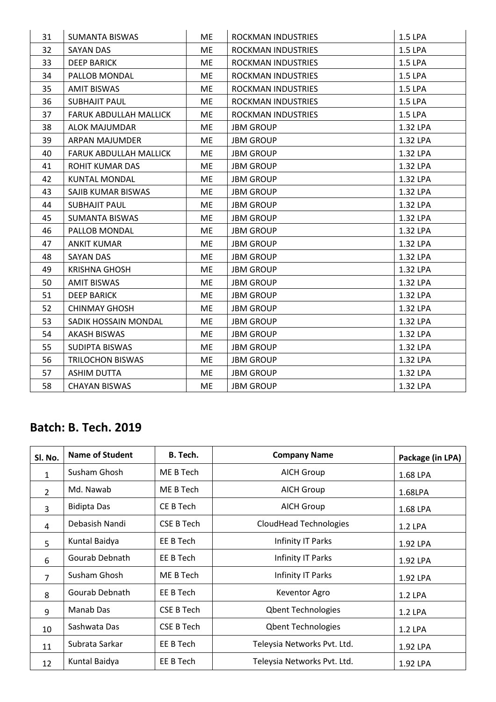| 31 | <b>SUMANTA BISWAS</b>         | ME        | ROCKMAN INDUSTRIES | 1.5 LPA  |
|----|-------------------------------|-----------|--------------------|----------|
| 32 | <b>SAYAN DAS</b>              | ME        | ROCKMAN INDUSTRIES | 1.5 LPA  |
| 33 | <b>DEEP BARICK</b>            | <b>ME</b> | ROCKMAN INDUSTRIES | 1.5 LPA  |
| 34 | PALLOB MONDAL                 | ME        | ROCKMAN INDUSTRIES | 1.5 LPA  |
| 35 | <b>AMIT BISWAS</b>            | ME        | ROCKMAN INDUSTRIES | 1.5 LPA  |
| 36 | <b>SUBHAJIT PAUL</b>          | <b>ME</b> | ROCKMAN INDUSTRIES | 1.5 LPA  |
| 37 | <b>FARUK ABDULLAH MALLICK</b> | ME        | ROCKMAN INDUSTRIES | 1.5 LPA  |
| 38 | <b>ALOK MAJUMDAR</b>          | ME        | <b>JBM GROUP</b>   | 1.32 LPA |
| 39 | ARPAN MAJUMDER                | ME        | <b>JBM GROUP</b>   | 1.32 LPA |
| 40 | FARUK ABDULLAH MALLICK        | ME        | <b>JBM GROUP</b>   | 1.32 LPA |
| 41 | ROHIT KUMAR DAS               | ME        | <b>JBM GROUP</b>   | 1.32 LPA |
| 42 | <b>KUNTAL MONDAL</b>          | <b>ME</b> | <b>JBM GROUP</b>   | 1.32 LPA |
| 43 | SAJIB KUMAR BISWAS            | ME        | <b>JBM GROUP</b>   | 1.32 LPA |
| 44 | <b>SUBHAJIT PAUL</b>          | ME        | <b>JBM GROUP</b>   | 1.32 LPA |
| 45 | <b>SUMANTA BISWAS</b>         | ME        | <b>JBM GROUP</b>   | 1.32 LPA |
| 46 | PALLOB MONDAL                 | ME        | <b>JBM GROUP</b>   | 1.32 LPA |
| 47 | <b>ANKIT KUMAR</b>            | ME        | <b>JBM GROUP</b>   | 1.32 LPA |
| 48 | <b>SAYAN DAS</b>              | <b>ME</b> | <b>JBM GROUP</b>   | 1.32 LPA |
| 49 | <b>KRISHNA GHOSH</b>          | ME        | <b>JBM GROUP</b>   | 1.32 LPA |
| 50 | <b>AMIT BISWAS</b>            | ME        | <b>JBM GROUP</b>   | 1.32 LPA |
| 51 | <b>DEEP BARICK</b>            | ME        | <b>JBM GROUP</b>   | 1.32 LPA |
| 52 | <b>CHINMAY GHOSH</b>          | ME        | <b>JBM GROUP</b>   | 1.32 LPA |
| 53 | SADIK HOSSAIN MONDAL          | <b>ME</b> | <b>JBM GROUP</b>   | 1.32 LPA |
| 54 | <b>AKASH BISWAS</b>           | ME        | <b>JBM GROUP</b>   | 1.32 LPA |
| 55 | SUDIPTA BISWAS                | ME        | <b>JBM GROUP</b>   | 1.32 LPA |
| 56 | <b>TRILOCHON BISWAS</b>       | ME        | <b>JBM GROUP</b>   | 1.32 LPA |
| 57 | <b>ASHIM DUTTA</b>            | ME        | <b>JBM GROUP</b>   | 1.32 LPA |
| 58 | <b>CHAYAN BISWAS</b>          | ME        | <b>JBM GROUP</b>   | 1.32 LPA |

| Sl. No.        | <b>Name of Student</b> | B. Tech.          | <b>Company Name</b>         | Package (in LPA) |
|----------------|------------------------|-------------------|-----------------------------|------------------|
| $\mathbf{1}$   | Susham Ghosh           | ME B Tech         | <b>AICH Group</b>           | 1.68 LPA         |
| $\overline{2}$ | Md. Nawab              | ME B Tech         | <b>AICH Group</b>           | 1.68LPA          |
| 3              | <b>Bidipta Das</b>     | CE B Tech         | <b>AICH Group</b>           | 1.68 LPA         |
| 4              | Debasish Nandi         | CSE B Tech        | CloudHead Technologies      | 1.2 LPA          |
| 5              | Kuntal Baidya          | EE B Tech         | Infinity IT Parks           | 1.92 LPA         |
| 6              | Gourab Debnath         | EE B Tech         | Infinity IT Parks           | 1.92 LPA         |
| $\overline{7}$ | Susham Ghosh           | ME B Tech         | Infinity IT Parks           | 1.92 LPA         |
| 8              | Gourab Debnath         | EE B Tech         | Keventor Agro               | 1.2 LPA          |
| 9              | Manab Das              | CSE B Tech        | <b>Qbent Technologies</b>   | 1.2 LPA          |
| 10             | Sashwata Das           | <b>CSE B Tech</b> | <b>Qbent Technologies</b>   | 1.2 LPA          |
| 11             | Subrata Sarkar         | EE B Tech         | Teleysia Networks Pvt. Ltd. | 1.92 LPA         |
| 12             | Kuntal Baidya          | EE B Tech         | Teleysia Networks Pvt. Ltd. | 1.92 LPA         |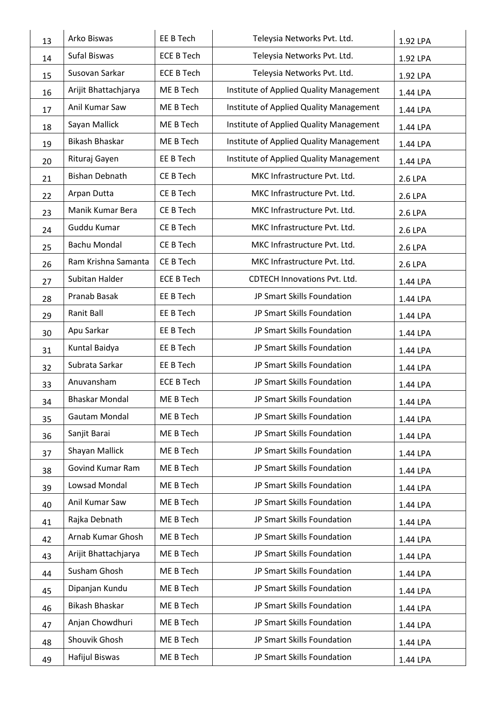| 13 | Arko Biswas             | EE B Tech         | Teleysia Networks Pvt. Ltd.             | 1.92 LPA |
|----|-------------------------|-------------------|-----------------------------------------|----------|
| 14 | Sufal Biswas            | <b>ECE B Tech</b> | Teleysia Networks Pvt. Ltd.             | 1.92 LPA |
| 15 | Susovan Sarkar          | <b>ECE B Tech</b> | Teleysia Networks Pvt. Ltd.             | 1.92 LPA |
| 16 | Arijit Bhattachjarya    | ME B Tech         | Institute of Applied Quality Management | 1.44 LPA |
| 17 | Anil Kumar Saw          | ME B Tech         | Institute of Applied Quality Management | 1.44 LPA |
| 18 | Sayan Mallick           | ME B Tech         | Institute of Applied Quality Management | 1.44 LPA |
| 19 | Bikash Bhaskar          | ME B Tech         | Institute of Applied Quality Management | 1.44 LPA |
| 20 | Rituraj Gayen           | EE B Tech         | Institute of Applied Quality Management | 1.44 LPA |
| 21 | <b>Bishan Debnath</b>   | CE B Tech         | MKC Infrastructure Pvt. Ltd.            | 2.6 LPA  |
| 22 | Arpan Dutta             | CE B Tech         | MKC Infrastructure Pvt. Ltd.            | 2.6 LPA  |
| 23 | Manik Kumar Bera        | CE B Tech         | MKC Infrastructure Pvt. Ltd.            | 2.6 LPA  |
| 24 | Guddu Kumar             | CE B Tech         | MKC Infrastructure Pvt. Ltd.            | 2.6 LPA  |
| 25 | Bachu Mondal            | CE B Tech         | MKC Infrastructure Pvt. Ltd.            | 2.6 LPA  |
| 26 | Ram Krishna Samanta     | CE B Tech         | MKC Infrastructure Pvt. Ltd.            | 2.6 LPA  |
| 27 | Subitan Halder          | <b>ECE B Tech</b> | <b>CDTECH Innovations Pvt. Ltd.</b>     | 1.44 LPA |
| 28 | Pranab Basak            | EE B Tech         | JP Smart Skills Foundation              | 1.44 LPA |
| 29 | Ranit Ball              | EE B Tech         | JP Smart Skills Foundation              | 1.44 LPA |
| 30 | Apu Sarkar              | EE B Tech         | JP Smart Skills Foundation              | 1.44 LPA |
| 31 | Kuntal Baidya           | EE B Tech         | JP Smart Skills Foundation              | 1.44 LPA |
| 32 | Subrata Sarkar          | EE B Tech         | JP Smart Skills Foundation              | 1.44 LPA |
| 33 | Anuvansham              | <b>ECE B Tech</b> | JP Smart Skills Foundation              | 1.44 LPA |
| 34 | <b>Bhaskar Mondal</b>   | ME B Tech         | JP Smart Skills Foundation              | 1.44 LPA |
| 35 | Gautam Mondal           | ME B Tech         | JP Smart Skills Foundation              | 1.44 LPA |
| 36 | Sanjit Barai            | ME B Tech         | JP Smart Skills Foundation              | 1.44 LPA |
| 37 | Shayan Mallick          | ME B Tech         | JP Smart Skills Foundation              | 1.44 LPA |
| 38 | <b>Govind Kumar Ram</b> | ME B Tech         | JP Smart Skills Foundation              | 1.44 LPA |
| 39 | Lowsad Mondal           | ME B Tech         | JP Smart Skills Foundation              | 1.44 LPA |
| 40 | Anil Kumar Saw          | ME B Tech         | JP Smart Skills Foundation              | 1.44 LPA |
| 41 | Rajka Debnath           | ME B Tech         | JP Smart Skills Foundation              | 1.44 LPA |
| 42 | Arnab Kumar Ghosh       | ME B Tech         | JP Smart Skills Foundation              | 1.44 LPA |
| 43 | Arijit Bhattachjarya    | ME B Tech         | JP Smart Skills Foundation              | 1.44 LPA |
| 44 | Susham Ghosh            | ME B Tech         | JP Smart Skills Foundation              | 1.44 LPA |
| 45 | Dipanjan Kundu          | ME B Tech         | JP Smart Skills Foundation              | 1.44 LPA |
| 46 | Bikash Bhaskar          | ME B Tech         | JP Smart Skills Foundation              | 1.44 LPA |
| 47 | Anjan Chowdhuri         | ME B Tech         | JP Smart Skills Foundation              | 1.44 LPA |
| 48 | Shouvik Ghosh           | ME B Tech         | JP Smart Skills Foundation              | 1.44 LPA |
| 49 | Hafijul Biswas          | ME B Tech         | JP Smart Skills Foundation              | 1.44 LPA |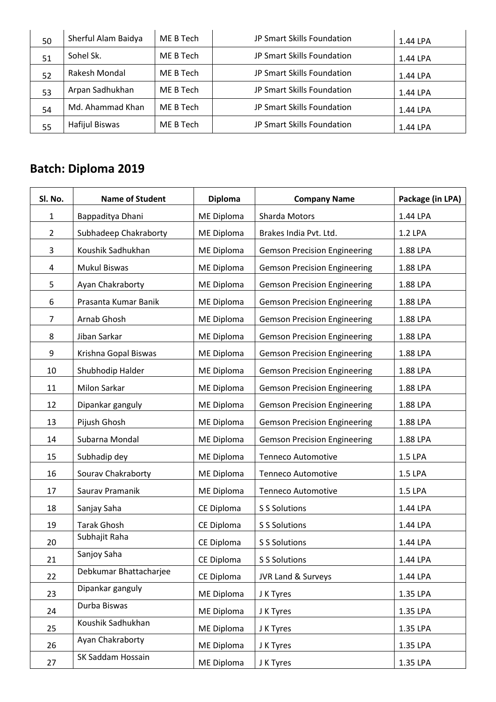| 50 | Sherful Alam Baidya   | ME B Tech | JP Smart Skills Foundation | 1.44 LPA |
|----|-----------------------|-----------|----------------------------|----------|
| 51 | Sohel Sk.             | ME B Tech | JP Smart Skills Foundation | 1.44 LPA |
| 52 | Rakesh Mondal         | ME B Tech | JP Smart Skills Foundation | 1.44 LPA |
| 53 | Arpan Sadhukhan       | ME B Tech | JP Smart Skills Foundation | 1.44 LPA |
| 54 | Md. Ahammad Khan      | ME B Tech | JP Smart Skills Foundation | 1.44 LPA |
| 55 | <b>Hafijul Biswas</b> | ME B Tech | JP Smart Skills Foundation | 1.44 LPA |

| Sl. No.        | <b>Name of Student</b> | <b>Diploma</b> | <b>Company Name</b>                 | Package (in LPA) |
|----------------|------------------------|----------------|-------------------------------------|------------------|
| $\mathbf{1}$   | Bappaditya Dhani       | ME Diploma     | <b>Sharda Motors</b>                | 1.44 LPA         |
| $\overline{2}$ | Subhadeep Chakraborty  | ME Diploma     | Brakes India Pvt. Ltd.              | 1.2 LPA          |
| 3              | Koushik Sadhukhan      | ME Diploma     | <b>Gemson Precision Engineering</b> | 1.88 LPA         |
| 4              | <b>Mukul Biswas</b>    | ME Diploma     | <b>Gemson Precision Engineering</b> | 1.88 LPA         |
| 5              | Ayan Chakraborty       | ME Diploma     | <b>Gemson Precision Engineering</b> | 1.88 LPA         |
| 6              | Prasanta Kumar Banik   | ME Diploma     | <b>Gemson Precision Engineering</b> | 1.88 LPA         |
| 7              | Arnab Ghosh            | ME Diploma     | <b>Gemson Precision Engineering</b> | 1.88 LPA         |
| 8              | Jiban Sarkar           | ME Diploma     | <b>Gemson Precision Engineering</b> | 1.88 LPA         |
| 9              | Krishna Gopal Biswas   | ME Diploma     | <b>Gemson Precision Engineering</b> | 1.88 LPA         |
| 10             | Shubhodip Halder       | ME Diploma     | <b>Gemson Precision Engineering</b> | 1.88 LPA         |
| 11             | <b>Milon Sarkar</b>    | ME Diploma     | <b>Gemson Precision Engineering</b> | 1.88 LPA         |
| 12             | Dipankar ganguly       | ME Diploma     | <b>Gemson Precision Engineering</b> | 1.88 LPA         |
| 13             | Pijush Ghosh           | ME Diploma     | <b>Gemson Precision Engineering</b> | 1.88 LPA         |
| 14             | Subarna Mondal         | ME Diploma     | <b>Gemson Precision Engineering</b> | 1.88 LPA         |
| 15             | Subhadip dey           | ME Diploma     | <b>Tenneco Automotive</b>           | 1.5 LPA          |
| 16             | Sourav Chakraborty     | ME Diploma     | <b>Tenneco Automotive</b>           | 1.5 LPA          |
| 17             | Saurav Pramanik        | ME Diploma     | <b>Tenneco Automotive</b>           | 1.5 LPA          |
| 18             | Sanjay Saha            | CE Diploma     | S S Solutions                       | 1.44 LPA         |
| 19             | <b>Tarak Ghosh</b>     | CE Diploma     | S S Solutions                       | 1.44 LPA         |
| 20             | Subhajit Raha          | CE Diploma     | S S Solutions                       | 1.44 LPA         |
| 21             | Sanjoy Saha            | CE Diploma     | S S Solutions                       | 1.44 LPA         |
| 22             | Debkumar Bhattacharjee | CE Diploma     | <b>JVR Land &amp; Surveys</b>       | 1.44 LPA         |
| 23             | Dipankar ganguly       | ME Diploma     | J K Tyres                           | 1.35 LPA         |
| 24             | Durba Biswas           | ME Diploma     | J K Tyres                           | 1.35 LPA         |
| 25             | Koushik Sadhukhan      | ME Diploma     | J K Tyres                           | 1.35 LPA         |
| 26             | Ayan Chakraborty       | ME Diploma     | J K Tyres                           | 1.35 LPA         |
| 27             | SK Saddam Hossain      | ME Diploma     | J K Tyres                           | 1.35 LPA         |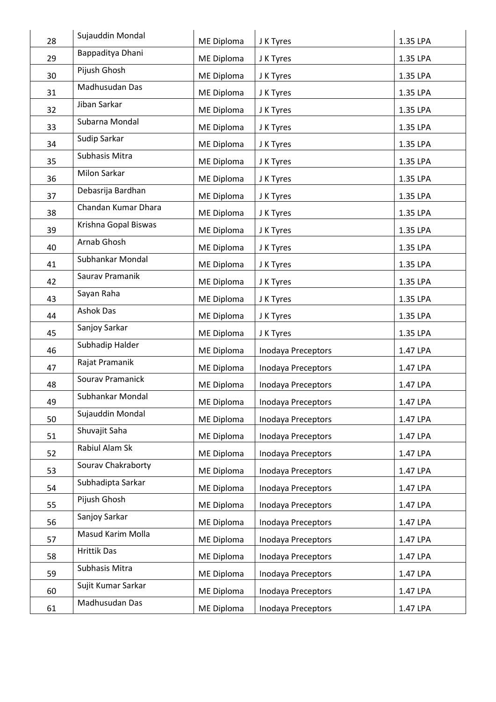| 28 | Sujauddin Mondal     | ME Diploma | J K Tyres          | 1.35 LPA |
|----|----------------------|------------|--------------------|----------|
| 29 | Bappaditya Dhani     | ME Diploma | J K Tyres          | 1.35 LPA |
| 30 | Pijush Ghosh         | ME Diploma | J K Tyres          | 1.35 LPA |
| 31 | Madhusudan Das       | ME Diploma | J K Tyres          | 1.35 LPA |
| 32 | Jiban Sarkar         | ME Diploma | J K Tyres          | 1.35 LPA |
| 33 | Subarna Mondal       | ME Diploma | J K Tyres          | 1.35 LPA |
| 34 | Sudip Sarkar         | ME Diploma | J K Tyres          | 1.35 LPA |
| 35 | Subhasis Mitra       | ME Diploma | J K Tyres          | 1.35 LPA |
| 36 | Milon Sarkar         | ME Diploma | J K Tyres          | 1.35 LPA |
| 37 | Debasrija Bardhan    | ME Diploma | J K Tyres          | 1.35 LPA |
| 38 | Chandan Kumar Dhara  | ME Diploma | J K Tyres          | 1.35 LPA |
| 39 | Krishna Gopal Biswas | ME Diploma | J K Tyres          | 1.35 LPA |
| 40 | Arnab Ghosh          | ME Diploma | J K Tyres          | 1.35 LPA |
| 41 | Subhankar Mondal     | ME Diploma | J K Tyres          | 1.35 LPA |
| 42 | Saurav Pramanik      | ME Diploma | J K Tyres          | 1.35 LPA |
| 43 | Sayan Raha           | ME Diploma | J K Tyres          | 1.35 LPA |
| 44 | <b>Ashok Das</b>     | ME Diploma | J K Tyres          | 1.35 LPA |
| 45 | Sanjoy Sarkar        | ME Diploma | J K Tyres          | 1.35 LPA |
| 46 | Subhadip Halder      | ME Diploma | Inodaya Preceptors | 1.47 LPA |
| 47 | Rajat Pramanik       | ME Diploma | Inodaya Preceptors | 1.47 LPA |
| 48 | Sourav Pramanick     | ME Diploma | Inodaya Preceptors | 1.47 LPA |
| 49 | Subhankar Mondal     | ME Diploma | Inodaya Preceptors | 1.47 LPA |
| 50 | Sujauddin Mondal     | ME Diploma | Inodaya Preceptors | 1.47 LPA |
| 51 | Shuvajit Saha        | ME Diploma | Inodaya Preceptors | 1.47 LPA |
| 52 | Rabiul Alam Sk       | ME Diploma | Inodaya Preceptors | 1.47 LPA |
| 53 | Sourav Chakraborty   | ME Diploma | Inodaya Preceptors | 1.47 LPA |
| 54 | Subhadipta Sarkar    | ME Diploma | Inodaya Preceptors | 1.47 LPA |
| 55 | Pijush Ghosh         | ME Diploma | Inodaya Preceptors | 1.47 LPA |
| 56 | Sanjoy Sarkar        | ME Diploma | Inodaya Preceptors | 1.47 LPA |
| 57 | Masud Karim Molla    | ME Diploma | Inodaya Preceptors | 1.47 LPA |
| 58 | <b>Hrittik Das</b>   | ME Diploma | Inodaya Preceptors | 1.47 LPA |
| 59 | Subhasis Mitra       | ME Diploma | Inodaya Preceptors | 1.47 LPA |
| 60 | Sujit Kumar Sarkar   | ME Diploma | Inodaya Preceptors | 1.47 LPA |
| 61 | Madhusudan Das       | ME Diploma | Inodaya Preceptors | 1.47 LPA |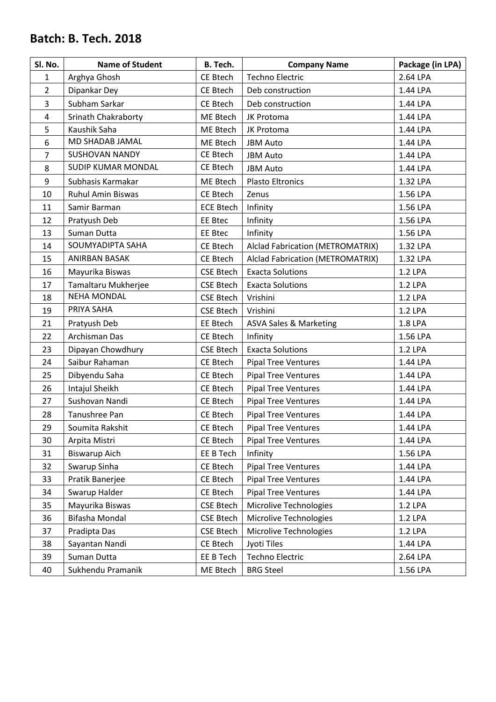| Sl. No.        | <b>Name of Student</b>     | <b>B.</b> Tech.  | <b>Company Name</b>                     | Package (in LPA) |
|----------------|----------------------------|------------------|-----------------------------------------|------------------|
| $\mathbf{1}$   | Arghya Ghosh               | CE Btech         | <b>Techno Electric</b>                  | 2.64 LPA         |
| $\overline{2}$ | Dipankar Dey               | CE Btech         | Deb construction                        | 1.44 LPA         |
| 3              | Subham Sarkar              | CE Btech         | Deb construction                        | 1.44 LPA         |
| $\overline{4}$ | <b>Srinath Chakraborty</b> | ME Btech         | JK Protoma                              | 1.44 LPA         |
| 5              | Kaushik Saha               | ME Btech         | JK Protoma                              | 1.44 LPA         |
| 6              | MD SHADAB JAMAL            | ME Btech         | <b>JBM Auto</b>                         | 1.44 LPA         |
| 7              | <b>SUSHOVAN NANDY</b>      | CE Btech         | <b>JBM Auto</b>                         | 1.44 LPA         |
| 8              | <b>SUDIP KUMAR MONDAL</b>  | CE Btech         | <b>JBM Auto</b>                         | 1.44 LPA         |
| 9              | Subhasis Karmakar          | ME Btech         | <b>Plasto Eltronics</b>                 | 1.32 LPA         |
| 10             | <b>Ruhul Amin Biswas</b>   | CE Btech         | Zenus                                   | 1.56 LPA         |
| 11             | Samir Barman               | <b>ECE Btech</b> | Infinity                                | 1.56 LPA         |
| 12             | Pratyush Deb               | EE Btec          | Infinity                                | 1.56 LPA         |
| 13             | Suman Dutta                | <b>EE Btec</b>   | Infinity                                | 1.56 LPA         |
| 14             | SOUMYADIPTA SAHA           | CE Btech         | <b>Alclad Fabrication (METROMATRIX)</b> | 1.32 LPA         |
| 15             | <b>ANIRBAN BASAK</b>       | CE Btech         | <b>Alclad Fabrication (METROMATRIX)</b> | 1.32 LPA         |
| 16             | Mayurika Biswas            | <b>CSE Btech</b> | <b>Exacta Solutions</b>                 | 1.2 LPA          |
| 17             | Tamaltaru Mukherjee        | <b>CSE Btech</b> | <b>Exacta Solutions</b>                 | 1.2 LPA          |
| 18             | <b>NEHA MONDAL</b>         | <b>CSE Btech</b> | Vrishini                                | 1.2 LPA          |
| 19             | PRIYA SAHA                 | <b>CSE Btech</b> | Vrishini                                | 1.2 LPA          |
| 21             | Pratyush Deb               | EE Btech         | <b>ASVA Sales &amp; Marketing</b>       | 1.8 LPA          |
| 22             | Archisman Das              | CE Btech         | Infinity                                | 1.56 LPA         |
| 23             | Dipayan Chowdhury          | <b>CSE Btech</b> | <b>Exacta Solutions</b>                 | 1.2 LPA          |
| 24             | Saibur Rahaman             | CE Btech         | <b>Pipal Tree Ventures</b>              | 1.44 LPA         |
| 25             | Dibyendu Saha              | CE Btech         | <b>Pipal Tree Ventures</b>              | 1.44 LPA         |
| 26             | Intajul Sheikh             | CE Btech         | <b>Pipal Tree Ventures</b>              | 1.44 LPA         |
| 27             | Sushovan Nandi             | CE Btech         | <b>Pipal Tree Ventures</b>              | 1.44 LPA         |
| 28             | Tanushree Pan              | CE Btech         | <b>Pipal Tree Ventures</b>              | 1.44 LPA         |
| 29             | Soumita Rakshit            | CE Btech         | <b>Pipal Tree Ventures</b>              | 1.44 LPA         |
| 30             | Arpita Mistri              | CE Btech         | <b>Pipal Tree Ventures</b>              | 1.44 LPA         |
| 31             | <b>Biswarup Aich</b>       | EE B Tech        | Infinity                                | 1.56 LPA         |
| 32             | Swarup Sinha               | CE Btech         | <b>Pipal Tree Ventures</b>              | 1.44 LPA         |
| 33             | Pratik Banerjee            | CE Btech         | <b>Pipal Tree Ventures</b>              | 1.44 LPA         |
| 34             | Swarup Halder              | CE Btech         | <b>Pipal Tree Ventures</b>              | 1.44 LPA         |
| 35             | Mayurika Biswas            | <b>CSE Btech</b> | Microlive Technologies                  | 1.2 LPA          |
| 36             | Bifasha Mondal             | <b>CSE Btech</b> | Microlive Technologies                  | 1.2 LPA          |
| 37             | Pradipta Das               | <b>CSE Btech</b> | Microlive Technologies                  | 1.2 LPA          |
| 38             | Sayantan Nandi             | CE Btech         | Jyoti Tiles                             | 1.44 LPA         |
| 39             | Suman Dutta                | EE B Tech        | <b>Techno Electric</b>                  | 2.64 LPA         |
| 40             | Sukhendu Pramanik          | ME Btech         | <b>BRG Steel</b>                        | 1.56 LPA         |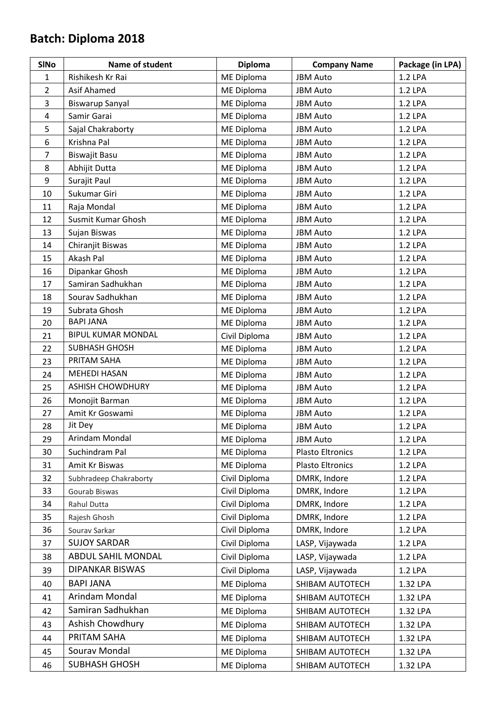| <b>SINo</b>    | Name of student           | <b>Diploma</b>    | <b>Company Name</b>     | Package (in LPA) |
|----------------|---------------------------|-------------------|-------------------------|------------------|
| $\mathbf{1}$   | Rishikesh Kr Rai          | <b>ME Diploma</b> | <b>JBM Auto</b>         | 1.2 LPA          |
| $\overline{2}$ | Asif Ahamed               | ME Diploma        | <b>JBM Auto</b>         | 1.2 LPA          |
| 3              | <b>Biswarup Sanyal</b>    | ME Diploma        | <b>JBM Auto</b>         | 1.2 LPA          |
| 4              | Samir Garai               | ME Diploma        | <b>JBM Auto</b>         | 1.2 LPA          |
| 5              | Sajal Chakraborty         | ME Diploma        | <b>JBM Auto</b>         | 1.2 LPA          |
| 6              | Krishna Pal               | ME Diploma        | <b>JBM Auto</b>         | 1.2 LPA          |
| 7              | Biswajit Basu             | ME Diploma        | <b>JBM Auto</b>         | 1.2 LPA          |
| 8              | Abhijit Dutta             | <b>ME Diploma</b> | <b>JBM Auto</b>         | 1.2 LPA          |
| 9              | Surajit Paul              | ME Diploma        | <b>JBM Auto</b>         | 1.2 LPA          |
| 10             | Sukumar Giri              | <b>ME Diploma</b> | <b>JBM Auto</b>         | 1.2 LPA          |
| 11             | Raja Mondal               | ME Diploma        | <b>JBM Auto</b>         | 1.2 LPA          |
| 12             | Susmit Kumar Ghosh        | ME Diploma        | <b>JBM Auto</b>         | 1.2 LPA          |
| 13             | Sujan Biswas              | <b>ME Diploma</b> | <b>JBM Auto</b>         | 1.2 LPA          |
| 14             | Chiranjit Biswas          | ME Diploma        | <b>JBM Auto</b>         | 1.2 LPA          |
| 15             | Akash Pal                 | ME Diploma        | <b>JBM Auto</b>         | 1.2 LPA          |
| 16             | Dipankar Ghosh            | ME Diploma        | <b>JBM Auto</b>         | 1.2 LPA          |
| 17             | Samiran Sadhukhan         | ME Diploma        | <b>JBM Auto</b>         | 1.2 LPA          |
| 18             | Sourav Sadhukhan          | ME Diploma        | <b>JBM Auto</b>         | 1.2 LPA          |
| 19             | Subrata Ghosh             | ME Diploma        | <b>JBM Auto</b>         | 1.2 LPA          |
| 20             | <b>BAPI JANA</b>          | <b>ME Diploma</b> | <b>JBM Auto</b>         | 1.2 LPA          |
| 21             | <b>BIPUL KUMAR MONDAL</b> | Civil Diploma     | <b>JBM Auto</b>         | 1.2 LPA          |
| 22             | <b>SUBHASH GHOSH</b>      | ME Diploma        | <b>JBM Auto</b>         | 1.2 LPA          |
| 23             | PRITAM SAHA               | <b>ME Diploma</b> | <b>JBM Auto</b>         | 1.2 LPA          |
| 24             | <b>MEHEDI HASAN</b>       | ME Diploma        | <b>JBM Auto</b>         | 1.2 LPA          |
| 25             | <b>ASHISH CHOWDHURY</b>   | ME Diploma        | <b>JBM Auto</b>         | 1.2 LPA          |
| 26             | Monojit Barman            | <b>ME Diploma</b> | <b>JBM Auto</b>         | 1.2 LPA          |
| 27             | Amit Kr Goswami           | ME Diploma        | <b>JBM Auto</b>         | 1.2 LPA          |
| 28             | Jit Dey                   | <b>ME Diploma</b> | <b>JBM Auto</b>         | 1.2 LPA          |
| 29             | Arindam Mondal            | <b>ME Diploma</b> | <b>JBM Auto</b>         | 1.2 LPA          |
| 30             | Suchindram Pal            | ME Diploma        | <b>Plasto Eltronics</b> | 1.2 LPA          |
| 31             | Amit Kr Biswas            | ME Diploma        | <b>Plasto Eltronics</b> | 1.2 LPA          |
| 32             | Subhradeep Chakraborty    | Civil Diploma     | DMRK, Indore            | 1.2 LPA          |
| 33             | Gourab Biswas             | Civil Diploma     | DMRK, Indore            | 1.2 LPA          |
| 34             | Rahul Dutta               | Civil Diploma     | DMRK, Indore            | 1.2 LPA          |
| 35             | Rajesh Ghosh              | Civil Diploma     | DMRK, Indore            | 1.2 LPA          |
| 36             | Sourav Sarkar             | Civil Diploma     | DMRK, Indore            | 1.2 LPA          |
| 37             | <b>SUJOY SARDAR</b>       | Civil Diploma     | LASP, Vijaywada         | 1.2 LPA          |
| 38             | ABDUL SAHIL MONDAL        | Civil Diploma     | LASP, Vijaywada         | 1.2 LPA          |
| 39             | <b>DIPANKAR BISWAS</b>    | Civil Diploma     | LASP, Vijaywada         | 1.2 LPA          |
| 40             | <b>BAPI JANA</b>          | ME Diploma        | SHIBAM AUTOTECH         | 1.32 LPA         |
| 41             | Arindam Mondal            | ME Diploma        | SHIBAM AUTOTECH         | 1.32 LPA         |
| 42             | Samiran Sadhukhan         | ME Diploma        | SHIBAM AUTOTECH         | 1.32 LPA         |
| 43             | Ashish Chowdhury          | ME Diploma        | SHIBAM AUTOTECH         | 1.32 LPA         |
| 44             | PRITAM SAHA               | ME Diploma        | SHIBAM AUTOTECH         | 1.32 LPA         |
| 45             | Sourav Mondal             | ME Diploma        | SHIBAM AUTOTECH         | 1.32 LPA         |
| 46             | <b>SUBHASH GHOSH</b>      | ME Diploma        | SHIBAM AUTOTECH         | 1.32 LPA         |